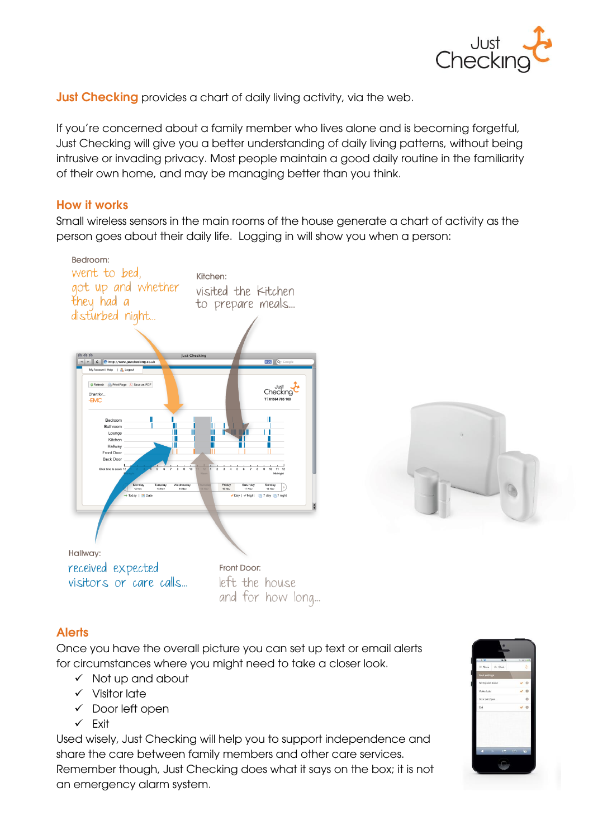

**Just Checking** provides a chart of daily living activity, via the web.

If you're concerned about a family member who lives alone and is becoming forgetful, Just Checking will give you a better understanding of daily living patterns, without being intrusive or invading privacy. Most people maintain a good daily routine in the familiarity of their own home, and may be managing better than you think.

# **How it works**

Small wireless sensors in the main rooms of the house generate a chart of activity as the person goes about their daily life. Logging in will show you when a person:





## **Alerts**

Once you have the overall picture you can set up text or email alerts for circumstances where you might need to take a closer look.

- $\checkmark$  Not up and about
- $\checkmark$  Visitor late
- $\checkmark$  Door left open
- $\checkmark$  Fxit

Used wisely, Just Checking will help you to support independence and share the care between family members and other care services. Remember though, Just Checking does what it says on the box; it is not an emergency alarm system.